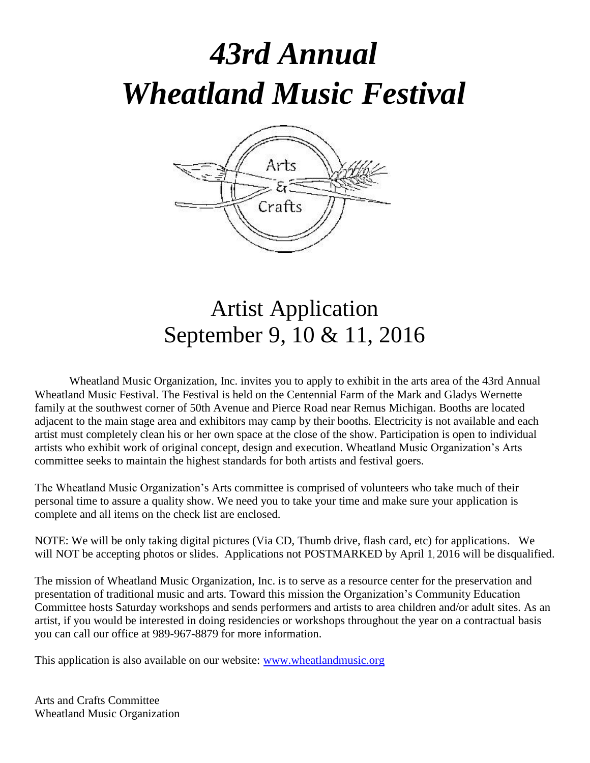# *43rd Annual Wheatland Music Festival*



## Artist Application September 9, 10 & 11, 2016

Wheatland Music Organization, Inc. invites you to apply to exhibit in the arts area of the 43rd Annual Wheatland Music Festival. The Festival is held on the Centennial Farm of the Mark and Gladys Wernette family at the southwest corner of 50th Avenue and Pierce Road near Remus Michigan. Booths are located adjacent to the main stage area and exhibitors may camp by their booths. Electricity is not available and each artist must completely clean his or her own space at the close of the show. Participation is open to individual artists who exhibit work of original concept, design and execution. Wheatland Music Organization's Arts committee seeks to maintain the highest standards for both artists and festival goers.

The Wheatland Music Organization's Arts committee is comprised of volunteers who take much of their personal time to assure a quality show. We need you to take your time and make sure your application is complete and all items on the check list are enclosed.

NOTE: We will be only taking digital pictures (Via CD, Thumb drive, flash card, etc) for applications. We will NOT be accepting photos or slides. Applications not POSTMARKED by April 1, 2016 will be disqualified.

The mission of Wheatland Music Organization, Inc. is to serve as a resource center for the preservation and presentation of traditional music and arts. Toward this mission the Organization's Community Education Committee hosts Saturday workshops and sends performers and artists to area children and/or adult sites. As an artist, if you would be interested in doing residencies or workshops throughout the year on a contractual basis you can call our office at 989-967-8879 for more information.

This application is also available on our website: [www.wheatlandmusic.org](http://www.wheatlandmusic.org/)

Arts and Crafts Committee Wheatland Music Organization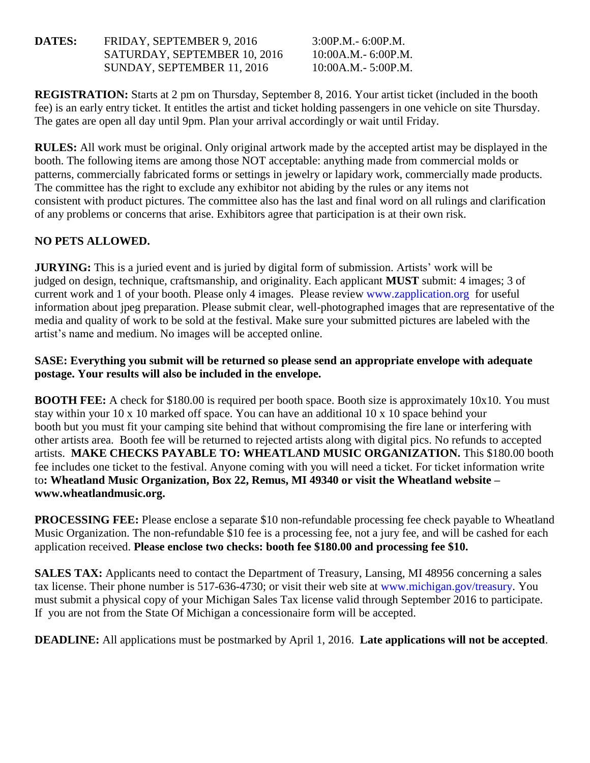**DATES:** FRIDAY, SEPTEMBER 9, 2016 3:00P.M. - 6:00P.M. SATURDAY, SEPTEMBER 10, 2016 10:00A.M.- 6:00P.M. SUNDAY, SEPTEMBER 11, 2016 10:00A.M.- 5:00P.M.

**REGISTRATION:** Starts at 2 pm on Thursday, September 8, 2016. Your artist ticket (included in the booth fee) is an early entry ticket. It entitles the artist and ticket holding passengers in one vehicle on site Thursday. The gates are open all day until 9pm. Plan your arrival accordingly or wait until Friday.

**RULES:** All work must be original. Only original artwork made by the accepted artist may be displayed in the booth. The following items are among those NOT acceptable: anything made from commercial molds or patterns, commercially fabricated forms or settings in jewelry or lapidary work, commercially made products. The committee has the right to exclude any exhibitor not abiding by the rules or any items not consistent with product pictures. The committee also has the last and final word on all rulings and clarification of any problems or concerns that arise. Exhibitors agree that participation is at their own risk.

#### **NO PETS ALLOWED.**

**JURYING:** This is a juried event and is juried by digital form of submission. Artists' work will be judged on design, technique, craftsmanship, and originality. Each applicant **MUST** submit: 4 images; 3 of current work and 1 of your booth. Please only 4 images. Please review www.zapplication.org for useful information about jpeg preparation. Please submit clear, well-photographed images that are representative of the media and quality of work to be sold at the festival. Make sure your submitted pictures are labeled with the artist's name and medium. No images will be accepted online.

#### **SASE: Everything you submit will be returned so please send an appropriate envelope with adequate postage. Your results will also be included in the envelope.**

**BOOTH FEE:** A check for \$180.00 is required per booth space. Booth size is approximately 10x10. You must stay within your 10 x 10 marked off space. You can have an additional 10 x 10 space behind your booth but you must fit your camping site behind that without compromising the fire lane or interfering with other artists area. Booth fee will be returned to rejected artists along with digital pics. No refunds to accepted artists. **MAKE CHECKS PAYABLE TO: WHEATLAND MUSIC ORGANIZATION.** This \$180.00 booth fee includes one ticket to the festival. Anyone coming with you will need a ticket. For ticket information write to**: Wheatland Music Organization, Box 22, Remus, MI 49340 or visit the Wheatland website – www.wheatlandmusic.org.** 

**PROCESSING FEE:** Please enclose a separate \$10 non-refundable processing fee check payable to Wheatland Music Organization. The non-refundable \$10 fee is a processing fee, not a jury fee, and will be cashed for each application received. **Please enclose two checks: booth fee \$180.00 and processing fee \$10.**

**SALES TAX:** Applicants need to contact the Department of Treasury, Lansing, MI 48956 concerning a sales tax license. Their phone number is 517-636-4730; or visit their web site at www.michigan.gov/treasury. You must submit a physical copy of your Michigan Sales Tax license valid through September 2016 to participate. If you are not from the State Of Michigan a concessionaire form will be accepted.

**DEADLINE:** All applications must be postmarked by April 1, 2016. **Late applications will not be accepted**.